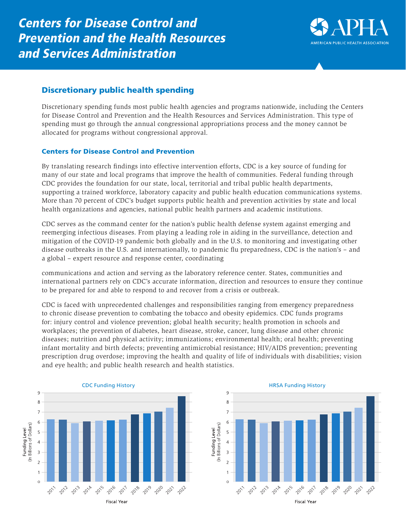

## Discretionary public health spending

Discretionary spending funds most public health agencies and programs nationwide, including the Centers for Disease Control and Prevention and the Health Resources and Services Administration. This type of spending must go through the annual congressional appropriations process and the money cannot be allocated for programs without congressional approval.

## Centers for Disease Control and Prevention

By translating research findings into effective intervention efforts, CDC is a key source of funding for many of our state and local programs that improve the health of communities. Federal funding through CDC provides the foundation for our state, local, territorial and tribal public health departments, supporting a trained workforce, laboratory capacity and public health education communications systems. More than 70 percent of CDC's budget supports public health and prevention activities by state and local health organizations and agencies, national public health partners and academic institutions.

CDC serves as the command center for the nation's public health defense system against emerging and reemerging infectious diseases. From playing a leading role in aiding in the surveillance, detection and mitigation of the COVID-19 pandemic both globally and in the U.S. to monitoring and investigating other disease outbreaks in the U.S. and internationally, to pandemic flu preparedness, CDC is the nation's – and a global – expert resource and response center, coordinating

communications and action and serving as the laboratory reference center. States, communities and international partners rely on CDC's accurate information, direction and resources to ensure they continue to be prepared for and able to respond to and recover from a crisis or outbreak.

CDC is faced with unprecedented challenges and responsibilities ranging from emergency preparedness to chronic disease prevention to combating the tobacco and obesity epidemics. CDC funds programs for: injury control and violence prevention; global health security; health promotion in schools and workplaces; the prevention of diabetes, heart disease, stroke, cancer, lung disease and other chronic diseases; nutrition and physical activity; immunizations; environmental health; oral health; preventing infant mortality and birth defects; preventing antimicrobial resistance; HIV/AIDS prevention; preventing prescription drug overdose; improving the health and quality of life of individuals with disabilities; vision and eye health; and public health research and health statistics.